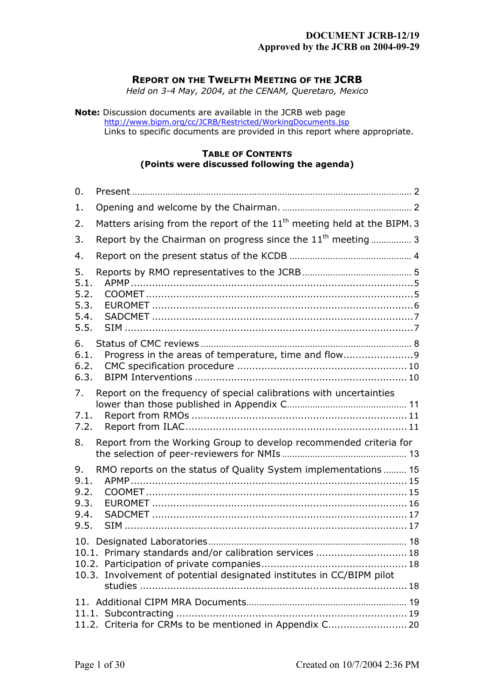# **DOCUMENT JCRB-12/19 Approved by the JCRB on 2004-09-29**

# <span id="page-0-0"></span>**REPORT ON THE TWELFTH MEETING OF THE JCRB**

*Held on 3-4 May, 2004, at the CENAM, Queretaro, Mexico*

**Note:** Discussion documents are available in the JCRB web page [http://www.bipm.org/cc/JCRB/Restricted/WorkingDocuments.jsp](https://www.bipm.org/cc/JCRB/Restricted/WorkingDocuments.jsp) Links to specific documents are provided in this report where appropriate.

## **TABLE OF CONTENTS (Points were discussed following the agenda)**

| 0.                                         |                                                                                                                                  |
|--------------------------------------------|----------------------------------------------------------------------------------------------------------------------------------|
| 1.                                         |                                                                                                                                  |
| 2.                                         | Matters arising from the report of the 11 <sup>th</sup> meeting held at the BIPM. 3                                              |
| 3.                                         | Report by the Chairman on progress since the $11th$ meeting  3                                                                   |
| 4.                                         |                                                                                                                                  |
| 5.<br>5.1.<br>5.2.<br>5.3.<br>5.4.<br>5.5. |                                                                                                                                  |
| 6.<br>6.1.<br>6.2.<br>6.3.                 | Progress in the areas of temperature, time and flow9                                                                             |
| 7.<br>7.1.<br>7.2.                         | Report on the frequency of special calibrations with uncertainties                                                               |
| 8.                                         | Report from the Working Group to develop recommended criteria for                                                                |
| 9.<br>9.1.<br>9.2.<br>9.3.<br>9.4.<br>9.5. | RMO reports on the status of Quality System implementations  15                                                                  |
|                                            | 10.1. Primary standards and/or calibration services  18<br>10.3. Involvement of potential designated institutes in CC/BIPM pilot |
|                                            | 11.2. Criteria for CRMs to be mentioned in Appendix C 20                                                                         |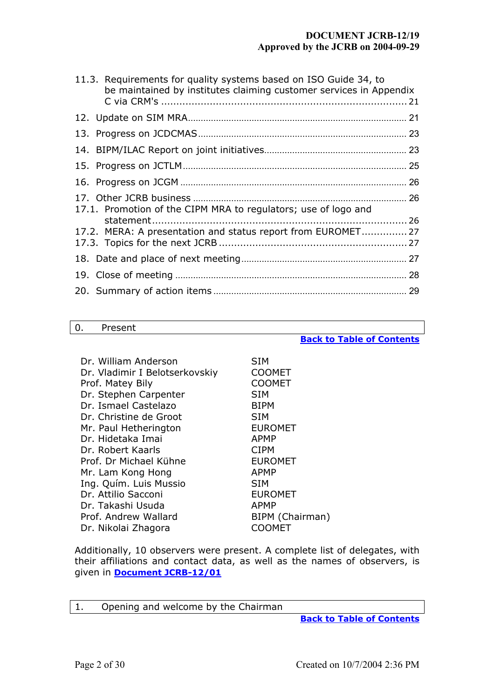# **DOCUMENT JCRB-12/19 Approved by the JCRB on 2004-09-29**

| 11.3. Requirements for quality systems based on ISO Guide 34, to<br>be maintained by institutes claiming customer services in Appendix |  |
|----------------------------------------------------------------------------------------------------------------------------------------|--|
|                                                                                                                                        |  |
|                                                                                                                                        |  |
|                                                                                                                                        |  |
|                                                                                                                                        |  |
|                                                                                                                                        |  |
| 17.1. Promotion of the CIPM MRA to regulators; use of logo and                                                                         |  |
|                                                                                                                                        |  |
| 17.2. MERA: A presentation and status report from EUROMET 27                                                                           |  |
|                                                                                                                                        |  |
|                                                                                                                                        |  |
|                                                                                                                                        |  |

#### <span id="page-1-0"></span>0. Present

# Dr. William Anderson SIM Dr. Vladimir I Belotserkovskiy COOMET Prof. Matey Bily COOMET Dr. Stephen Carpenter SIM Dr. Ismael Castelazo BIPM Dr. Christine de Groot SIM Mr. Paul Hetherington EUROMET Dr. Hidetaka Imai **APMP** Dr. Robert Kaarls CIPM Prof. Dr Michael Kühne FUROMET Mr. Lam Kong Hong **APMP** Ing. Quím. Luis Mussio SIM Dr. Attilio Sacconi **EUROMET** Dr. Takashi Usuda APMP Prof. Andrew Wallard BIPM (Chairman) Dr. Nikolai Zhagora COOMET

Additionally, 10 observers were present. A complete list of delegates, with their affiliations and contact data, as well as the names of observers, is given in **[Document JCRB-12/01](https://www.bipm.org/cc/JCRB/Restricted/12/12_01_List_of_participants_20040512.pdf)**

<span id="page-1-1"></span>

| Opening and welcome by the Chairman<br>Ι. |
|-------------------------------------------|
|-------------------------------------------|

**[Back to Table of Contents](#page-0-0)**

**[Back to Table of Contents](#page-0-0)**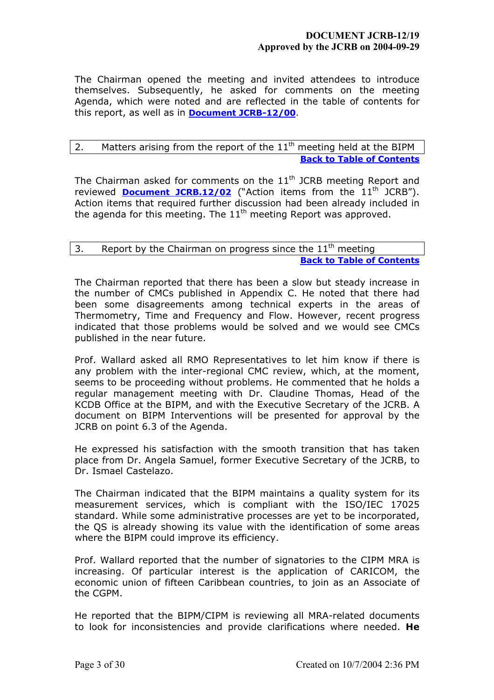The Chairman opened the meeting and invited attendees to introduce themselves. Subsequently, he asked for comments on the meeting Agenda, which were noted and are reflected in the table of contents for this report, as well as in **[Document JCRB-12/00](https://www.bipm.org/cc/JCRB/Restricted/12/12_00_Agenda_20040518.pdf)**.

# <span id="page-2-0"></span>2. Matters arising from the report of the  $11<sup>th</sup>$  meeting held at the BIPM **[Back to Table of Contents](#page-0-0)**

The Chairman asked for comments on the  $11<sup>th</sup>$  JCRB meeting Report and reviewed **[Document JCRB.12/02](https://www.bipm.org/cc/JCRB/Restricted/12/12_02_Action_items_11th_JCRB.xls)** ("Action items from the 11<sup>th</sup> JCRB"). Action items that required further discussion had been already included in the agenda for this meeting. The  $11<sup>th</sup>$  meeting Report was approved.

# <span id="page-2-1"></span>3. Report by the Chairman on progress since the  $11<sup>th</sup>$  meeting **[Back to Table of Contents](#page-0-0)**

The Chairman reported that there has been a slow but steady increase in the number of CMCs published in Appendix C. He noted that there had been some disagreements among technical experts in the areas of Thermometry, Time and Frequency and Flow. However, recent progress indicated that those problems would be solved and we would see CMCs published in the near future.

Prof. Wallard asked all RMO Representatives to let him know if there is any problem with the inter-regional CMC review, which, at the moment, seems to be proceeding without problems. He commented that he holds a regular management meeting with Dr. Claudine Thomas, Head of the KCDB Office at the BIPM, and with the Executive Secretary of the JCRB. A document on BIPM Interventions will be presented for approval by the JCRB on point 6.3 of the Agenda.

He expressed his satisfaction with the smooth transition that has taken place from Dr. Angela Samuel, former Executive Secretary of the JCRB, to Dr. Ismael Castelazo.

The Chairman indicated that the BIPM maintains a quality system for its measurement services, which is compliant with the ISO/IEC 17025 standard. While some administrative processes are yet to be incorporated, the QS is already showing its value with the identification of some areas where the BIPM could improve its efficiency.

Prof. Wallard reported that the number of signatories to the CIPM MRA is increasing. Of particular interest is the application of CARICOM, the economic union of fifteen Caribbean countries, to join as an Associate of the CGPM.

He reported that the BIPM/CIPM is reviewing all MRA-related documents to look for inconsistencies and provide clarifications where needed. **He**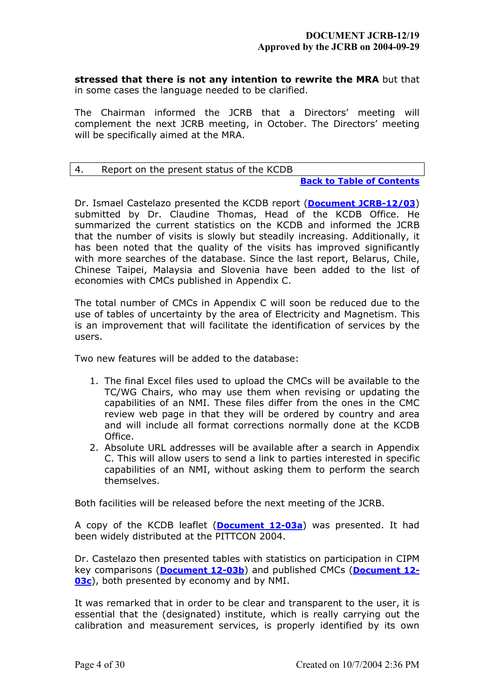**stressed that there is not any intention to rewrite the MRA** but that in some cases the language needed to be clarified.

The Chairman informed the JCRB that a Directors' meeting will complement the next JCRB meeting, in October. The Directors' meeting will be specifically aimed at the MRA.

# <span id="page-3-0"></span>4. Report on the present status of the KCDB

### **[Back to Table of Contents](#page-0-0)**

Dr. Ismael Castelazo presented the KCDB report (**[Document JCRB-12/03](https://www.bipm.org/cc/JCRB/Restricted/12/12_03_KCDB_Report.pdf)**) submitted by Dr. Claudine Thomas, Head of the KCDB Office. He summarized the current statistics on the KCDB and informed the JCRB that the number of visits is slowly but steadily increasing. Additionally, it has been noted that the quality of the visits has improved significantly with more searches of the database. Since the last report, Belarus, Chile, Chinese Taipei, Malaysia and Slovenia have been added to the list of economies with CMCs published in Appendix C.

The total number of CMCs in Appendix C will soon be reduced due to the use of tables of uncertainty by the area of Electricity and Magnetism. This is an improvement that will facilitate the identification of services by the users.

Two new features will be added to the database:

- 1. The final Excel files used to upload the CMCs will be available to the TC/WG Chairs, who may use them when revising or updating the capabilities of an NMI. These files differ from the ones in the CMC review web page in that they will be ordered by country and area and will include all format corrections normally done at the KCDB Office.
- 2. Absolute URL addresses will be available after a search in Appendix C. This will allow users to send a link to parties interested in specific capabilities of an NMI, without asking them to perform the search themselves.

Both facilities will be released before the next meeting of the JCRB.

A copy of the KCDB leaflet (**[Document 12-03a](https://www.bipm.org/cc/JCRB/Restricted/12/12_03a_KCDB_leaflet_2004.pdf)**) was presented. It had been widely distributed at the PITTCON 2004.

Dr. Castelazo then presented tables with statistics on participation in CIPM key comparisons (**[Document 12-03b](https://www.bipm.org/cc/JCRB/Restricted/12/12_03b_CMP_Summary_13Apr04.xls)**) and published CMCs (**[Document 12-](https://www.bipm.org/cc/JCRB/Restricted/12/12_03c_CMC_Summary_19Apr04.xls) [03c](https://www.bipm.org/cc/JCRB/Restricted/12/12_03c_CMC_Summary_19Apr04.xls)**), both presented by economy and by NMI.

It was remarked that in order to be clear and transparent to the user, it is essential that the (designated) institute, which is really carrying out the calibration and measurement services, is properly identified by its own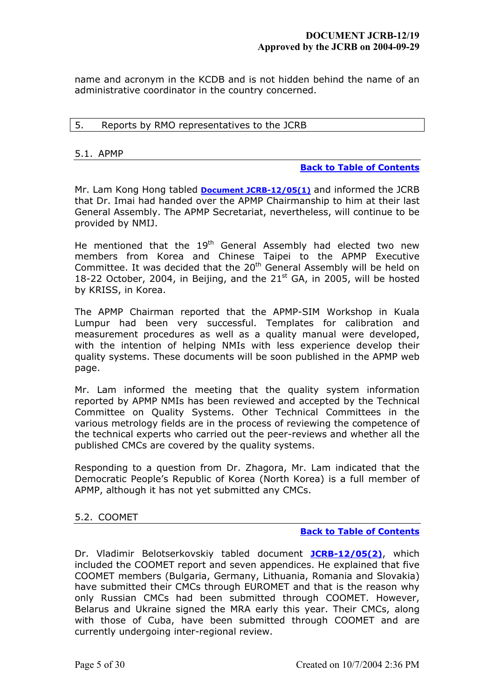name and acronym in the KCDB and is not hidden behind the name of an administrative coordinator in the country concerned.

### <span id="page-4-0"></span>5. Reports by RMO representatives to the JCRB

### <span id="page-4-1"></span>5.1. APMP

### **[Back to Table of Contents](#page-0-0)**

Mr. Lam Kong Hong tabled **[Document JCRB-12/05\(1\)](https://www.bipm.org/cc/JCRB/Restricted/12/12_05(1)_APMP_Report_12th_JCRBv2.pdf)** and informed the JCRB that Dr. Imai had handed over the APMP Chairmanship to him at their last General Assembly. The APMP Secretariat, nevertheless, will continue to be provided by NMIJ.

He mentioned that the 19<sup>th</sup> General Assembly had elected two new members from Korea and Chinese Taipei to the APMP Executive Committee. It was decided that the 20<sup>th</sup> General Assembly will be held on 18-22 October, 2004, in Beijing, and the  $21<sup>st</sup>$  GA, in 2005, will be hosted by KRISS, in Korea.

The APMP Chairman reported that the APMP-SIM Workshop in Kuala Lumpur had been very successful. Templates for calibration and measurement procedures as well as a quality manual were developed, with the intention of helping NMIs with less experience develop their quality systems. These documents will be soon published in the APMP web page.

Mr. Lam informed the meeting that the quality system information reported by APMP NMIs has been reviewed and accepted by the Technical Committee on Quality Systems. Other Technical Committees in the various metrology fields are in the process of reviewing the competence of the technical experts who carried out the peer-reviews and whether all the published CMCs are covered by the quality systems.

Responding to a question from Dr. Zhagora, Mr. Lam indicated that the Democratic People's Republic of Korea (North Korea) is a full member of APMP, although it has not yet submitted any CMCs.

## <span id="page-4-2"></span>5.2. COOMET

#### **[Back to Table of Contents](#page-0-0)**

Dr. Vladimir Belotserkovskiy tabled document **[JCRB-12/05\(2\)](https://www.bipm.org/cc/JCRB/Restricted/12/12_05(2)_COOMET_Report.zip)**, which included the COOMET report and seven appendices. He explained that five COOMET members (Bulgaria, Germany, Lithuania, Romania and Slovakia) have submitted their CMCs through EUROMET and that is the reason why only Russian CMCs had been submitted through COOMET. However, Belarus and Ukraine signed the MRA early this year. Their CMCs, along with those of Cuba, have been submitted through COOMET and are currently undergoing inter-regional review.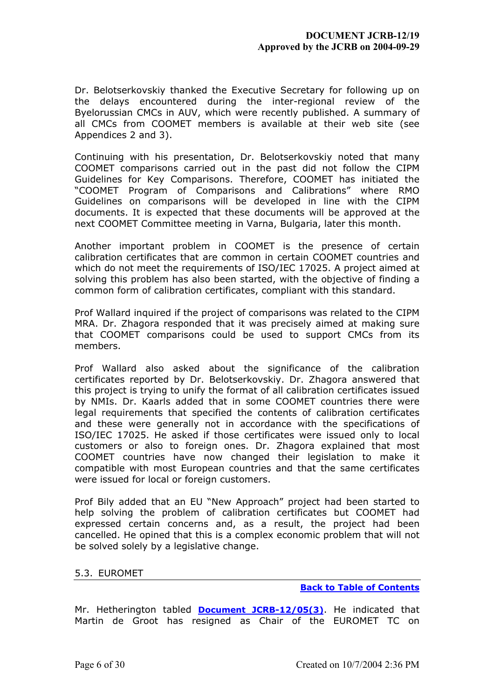Dr. Belotserkovskiy thanked the Executive Secretary for following up on the delays encountered during the inter-regional review of the Byelorussian CMCs in AUV, which were recently published. A summary of all CMCs from COOMET members is available at their web site (see Appendices 2 and 3).

Continuing with his presentation, Dr. Belotserkovskiy noted that many COOMET comparisons carried out in the past did not follow the CIPM Guidelines for Key Comparisons. Therefore, COOMET has initiated the "COOMET Program of Comparisons and Calibrations" where RMO Guidelines on comparisons will be developed in line with the CIPM documents. It is expected that these documents will be approved at the next COOMET Committee meeting in Varna, Bulgaria, later this month.

Another important problem in COOMET is the presence of certain calibration certificates that are common in certain COOMET countries and which do not meet the requirements of ISO/IEC 17025. A project aimed at solving this problem has also been started, with the objective of finding a common form of calibration certificates, compliant with this standard.

Prof Wallard inquired if the project of comparisons was related to the CIPM MRA. Dr. Zhagora responded that it was precisely aimed at making sure that COOMET comparisons could be used to support CMCs from its members.

Prof Wallard also asked about the significance of the calibration certificates reported by Dr. Belotserkovskiy. Dr. Zhagora answered that this project is trying to unify the format of all calibration certificates issued by NMIs. Dr. Kaarls added that in some COOMET countries there were legal requirements that specified the contents of calibration certificates and these were generally not in accordance with the specifications of ISO/IEC 17025. He asked if those certificates were issued only to local customers or also to foreign ones. Dr. Zhagora explained that most COOMET countries have now changed their legislation to make it compatible with most European countries and that the same certificates were issued for local or foreign customers.

Prof Bily added that an EU "New Approach" project had been started to help solving the problem of calibration certificates but COOMET had expressed certain concerns and, as a result, the project had been cancelled. He opined that this is a complex economic problem that will not be solved solely by a legislative change.

## <span id="page-5-0"></span>5.3. EUROMET

**[Back to Table of Contents](#page-0-0)**

Mr. Hetherington tabled **[Document JCRB-12/05\(3\)](https://www1.bipm.org/cc/JCRB/Restricted/12/12_05(3)_EUROMET_Report_last.pdf)**. He indicated that Martin de Groot has resigned as Chair of the EUROMET TC on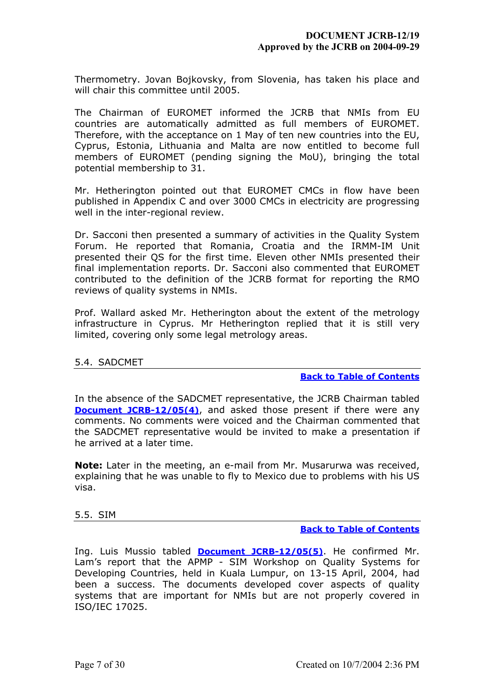Thermometry. Jovan Bojkovsky, from Slovenia, has taken his place and will chair this committee until 2005.

The Chairman of EUROMET informed the JCRB that NMIs from EU countries are automatically admitted as full members of EUROMET. Therefore, with the acceptance on 1 May of ten new countries into the EU, Cyprus, Estonia, Lithuania and Malta are now entitled to become full members of EUROMET (pending signing the MoU), bringing the total potential membership to 31.

Mr. Hetherington pointed out that EUROMET CMCs in flow have been published in Appendix C and over 3000 CMCs in electricity are progressing well in the inter-regional review.

Dr. Sacconi then presented a summary of activities in the Quality System Forum. He reported that Romania, Croatia and the IRMM-IM Unit presented their QS for the first time. Eleven other NMIs presented their final implementation reports. Dr. Sacconi also commented that EUROMET contributed to the definition of the JCRB format for reporting the RMO reviews of quality systems in NMIs.

Prof. Wallard asked Mr. Hetherington about the extent of the metrology infrastructure in Cyprus. Mr Hetherington replied that it is still very limited, covering only some legal metrology areas.

## <span id="page-6-0"></span>5.4. SADCMET

#### **[Back to Table of Contents](#page-0-0)**

In the absence of the SADCMET representative, the JCRB Chairman tabled **[Document JCRB-12/05\(4\)](https://www.bipm.org/cc/JCRB/Restricted/12/12_05(4)_SADCMET_RMO_Report_May_2004v2.pdf)**, and asked those present if there were any comments. No comments were voiced and the Chairman commented that the SADCMET representative would be invited to make a presentation if he arrived at a later time.

**Note:** Later in the meeting, an e-mail from Mr. Musarurwa was received, explaining that he was unable to fly to Mexico due to problems with his US visa.

#### <span id="page-6-1"></span>5.5. SIM

#### **[Back to Table of Contents](#page-0-0)**

Ing. Luis Mussio tabled **[Document JCRB-12/05\(5\)](https://www.bipm.org/cc/JCRB/Restricted/12/12_05(5)_SIM_Report.zip)**. He confirmed Mr. Lam's report that the APMP - SIM Workshop on Quality Systems for Developing Countries, held in Kuala Lumpur, on 13-15 April, 2004, had been a success. The documents developed cover aspects of quality systems that are important for NMIs but are not properly covered in ISO/IEC 17025.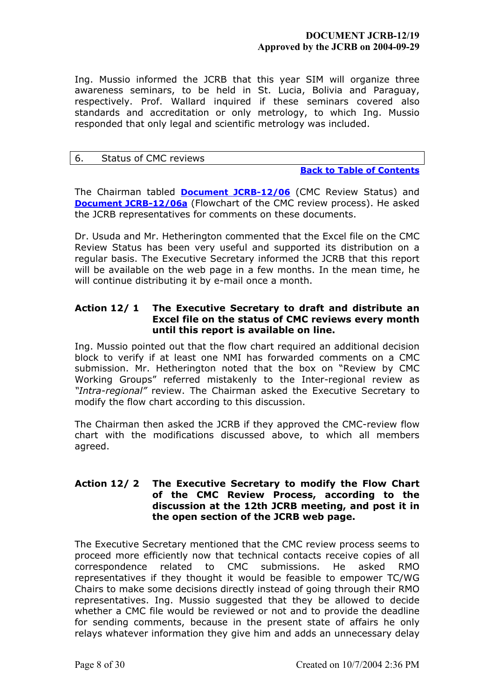Ing. Mussio informed the JCRB that this year SIM will organize three awareness seminars, to be held in St. Lucia, Bolivia and Paraguay, respectively. Prof. Wallard inquired if these seminars covered also standards and accreditation or only metrology, to which Ing. Mussio responded that only legal and scientific metrology was included.

### <span id="page-7-0"></span>6. Status of CMC reviews

### **[Back to Table of Contents](#page-0-0)**

The Chairman tabled **[Document JCRB-12/06](https://www.bipm.org/cc/JCRB/Restricted/12/12_06_status_of_cmcs_2004_04_26.xls)** (CMC Review Status) and **[Document JCRB-12/06a](https://www.bipm.org/cc/JCRB/Restricted/12/12_06a_rev_CMC_review_process_2004_05_14.pdf)** (Flowchart of the CMC review process). He asked the JCRB representatives for comments on these documents.

Dr. Usuda and Mr. Hetherington commented that the Excel file on the CMC Review Status has been very useful and supported its distribution on a regular basis. The Executive Secretary informed the JCRB that this report will be available on the web page in a few months. In the mean time, he will continue distributing it by e-mail once a month.

# **Action 12/ 1 The Executive Secretary to draft and distribute an Excel file on the status of CMC reviews every month until this report is available on line.**

Ing. Mussio pointed out that the flow chart required an additional decision block to verify if at least one NMI has forwarded comments on a CMC submission. Mr. Hetherington noted that the box on "Review by CMC Working Groups" referred mistakenly to the Inter-regional review as *"Intra-regional"* review. The Chairman asked the Executive Secretary to modify the flow chart according to this discussion.

The Chairman then asked the JCRB if they approved the CMC-review flow chart with the modifications discussed above, to which all members agreed.

# **Action 12/ 2 The Executive Secretary to modify the Flow Chart of the CMC Review Process, according to the discussion at the 12th JCRB meeting, and post it in the open section of the JCRB web page.**

The Executive Secretary mentioned that the CMC review process seems to proceed more efficiently now that technical contacts receive copies of all correspondence related to CMC submissions. He asked RMO representatives if they thought it would be feasible to empower TC/WG Chairs to make some decisions directly instead of going through their RMO representatives. Ing. Mussio suggested that they be allowed to decide whether a CMC file would be reviewed or not and to provide the deadline for sending comments, because in the present state of affairs he only relays whatever information they give him and adds an unnecessary delay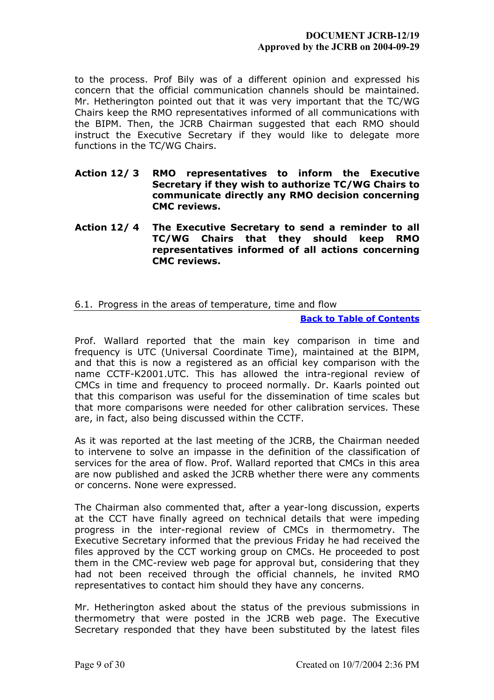to the process. Prof Bily was of a different opinion and expressed his concern that the official communication channels should be maintained. Mr. Hetherington pointed out that it was very important that the TC/WG Chairs keep the RMO representatives informed of all communications with the BIPM. Then, the JCRB Chairman suggested that each RMO should instruct the Executive Secretary if they would like to delegate more functions in the TC/WG Chairs.

- **Action 12/ 3 RMO representatives to inform the Executive Secretary if they wish to authorize TC/WG Chairs to communicate directly any RMO decision concerning CMC reviews.**
- **Action 12/ 4 The Executive Secretary to send a reminder to all TC/WG Chairs that they should keep RMO representatives informed of all actions concerning CMC reviews.**

# <span id="page-8-0"></span>6.1. Progress in the areas of temperature, time and flow

### **[Back to Table of Contents](#page-0-0)**

Prof. Wallard reported that the main key comparison in time and frequency is UTC (Universal Coordinate Time), maintained at the BIPM, and that this is now a registered as an official key comparison with the name CCTF-K2001.UTC. This has allowed the intra-regional review of CMCs in time and frequency to proceed normally. Dr. Kaarls pointed out that this comparison was useful for the dissemination of time scales but that more comparisons were needed for other calibration services. These are, in fact, also being discussed within the CCTF.

As it was reported at the last meeting of the JCRB, the Chairman needed to intervene to solve an impasse in the definition of the classification of services for the area of flow. Prof. Wallard reported that CMCs in this area are now published and asked the JCRB whether there were any comments or concerns. None were expressed.

The Chairman also commented that, after a year-long discussion, experts at the CCT have finally agreed on technical details that were impeding progress in the inter-regional review of CMCs in thermometry. The Executive Secretary informed that the previous Friday he had received the files approved by the CCT working group on CMCs. He proceeded to post them in the CMC-review web page for approval but, considering that they had not been received through the official channels, he invited RMO representatives to contact him should they have any concerns.

Mr. Hetherington asked about the status of the previous submissions in thermometry that were posted in the JCRB web page. The Executive Secretary responded that they have been substituted by the latest files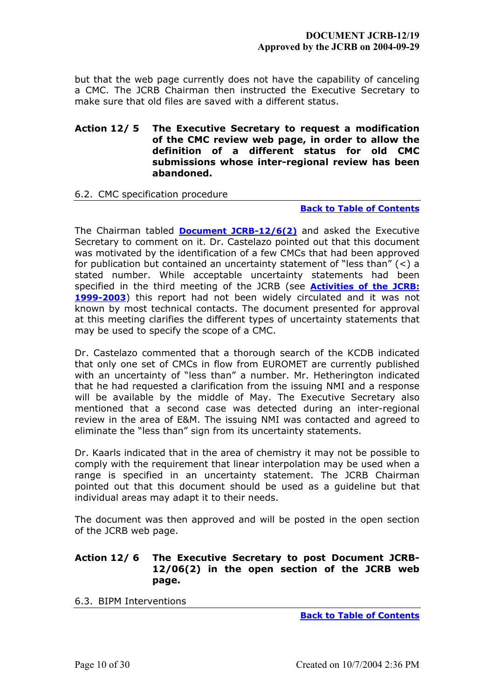but that the web page currently does not have the capability of canceling a CMC. The JCRB Chairman then instructed the Executive Secretary to make sure that old files are saved with a different status.

## **Action 12/ 5 The Executive Secretary to request a modification of the CMC review web page, in order to allow the definition of a different status for old CMC submissions whose inter-regional review has been abandoned.**

# <span id="page-9-0"></span>6.2. CMC specification procedure

### **[Back to Table of Contents](#page-0-0)**

The Chairman tabled **[Document JCRB-12/6\(2\)](https://www.bipm.org/cc/JCRB/Restricted/12/12_06(2)_CMC_specification_procedure_20040518.pdf)** and asked the Executive Secretary to comment on it. Dr. Castelazo pointed out that this document was motivated by the identification of a few CMCs that had been approved for publication but contained an uncertainty statement of "less than" (<) a stated number. While acceptable uncertainty statements had been specified in the third meeting of the JCRB (see **[Activities of the JCRB:](https://www1.bipm.org/utils/common/documents/jcrb/reportjcrb2003.pdf) [1999-2003](https://www1.bipm.org/utils/common/documents/jcrb/reportjcrb2003.pdf)**) this report had not been widely circulated and it was not known by most technical contacts. The document presented for approval at this meeting clarifies the different types of uncertainty statements that may be used to specify the scope of a CMC.

Dr. Castelazo commented that a thorough search of the KCDB indicated that only one set of CMCs in flow from EUROMET are currently published with an uncertainty of "less than" a number. Mr. Hetherington indicated that he had requested a clarification from the issuing NMI and a response will be available by the middle of May. The Executive Secretary also mentioned that a second case was detected during an inter-regional review in the area of E&M. The issuing NMI was contacted and agreed to eliminate the "less than" sign from its uncertainty statements.

Dr. Kaarls indicated that in the area of chemistry it may not be possible to comply with the requirement that linear interpolation may be used when a range is specified in an uncertainty statement. The JCRB Chairman pointed out that this document should be used as a guideline but that individual areas may adapt it to their needs.

The document was then approved and will be posted in the open section of the JCRB web page.

# **Action 12/ 6 The Executive Secretary to post Document JCRB-12/06(2) in the open section of the JCRB web page.**

<span id="page-9-1"></span>6.3. BIPM Interventions

**[Back to Table of Contents](#page-0-0)**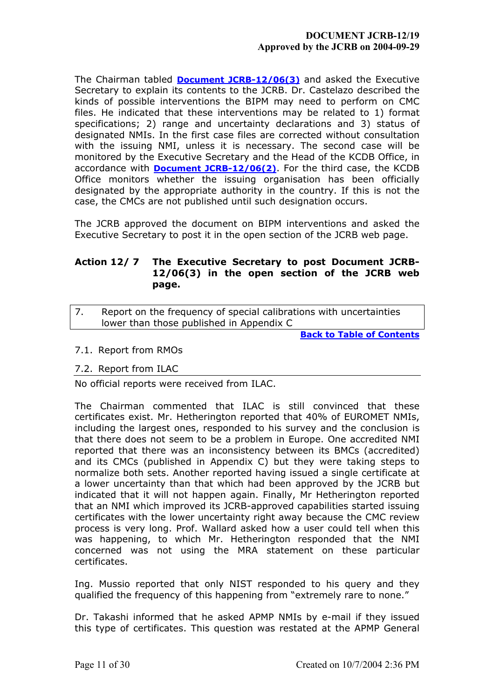The Chairman tabled **[Document JCRB-12/06\(3\)](https://www.bipm.org/cc/JCRB/Restricted/12/12_06(3)_BIPM_Interventions.pdf)** and asked the Executive Secretary to explain its contents to the JCRB. Dr. Castelazo described the kinds of possible interventions the BIPM may need to perform on CMC files. He indicated that these interventions may be related to 1) format specifications; 2) range and uncertainty declarations and 3) status of designated NMIs. In the first case files are corrected without consultation with the issuing NMI, unless it is necessary. The second case will be monitored by the Executive Secretary and the Head of the KCDB Office, in accordance with **[Document JCRB-12/06\(2\)](https://www.bipm.org/cc/JCRB/Restricted/12/12_06(2)_CMC_specification_procedure.pdf)**. For the third case, the KCDB Office monitors whether the issuing organisation has been officially designated by the appropriate authority in the country. If this is not the case, the CMCs are not published until such designation occurs.

The JCRB approved the document on BIPM interventions and asked the Executive Secretary to post it in the open section of the JCRB web page.

# **Action 12/ 7 The Executive Secretary to post Document JCRB-12/06(3) in the open section of the JCRB web page.**

<span id="page-10-0"></span>7. Report on the frequency of special calibrations with uncertainties lower than those published in Appendix C

**[Back to Table of Contents](#page-0-0)**

<span id="page-10-1"></span>7.1. Report from RMOs

# <span id="page-10-2"></span>7.2. Report from ILAC

No official reports were received from ILAC.

The Chairman commented that ILAC is still convinced that these certificates exist. Mr. Hetherington reported that 40% of EUROMET NMIs, including the largest ones, responded to his survey and the conclusion is that there does not seem to be a problem in Europe. One accredited NMI reported that there was an inconsistency between its BMCs (accredited) and its CMCs (published in Appendix C) but they were taking steps to normalize both sets. Another reported having issued a single certificate at a lower uncertainty than that which had been approved by the JCRB but indicated that it will not happen again. Finally, Mr Hetherington reported that an NMI which improved its JCRB-approved capabilities started issuing certificates with the lower uncertainty right away because the CMC review process is very long. Prof. Wallard asked how a user could tell when this was happening, to which Mr. Hetherington responded that the NMI concerned was not using the MRA statement on these particular certificates.

Ing. Mussio reported that only NIST responded to his query and they qualified the frequency of this happening from "extremely rare to none."

Dr. Takashi informed that he asked APMP NMIs by e-mail if they issued this type of certificates. This question was restated at the APMP General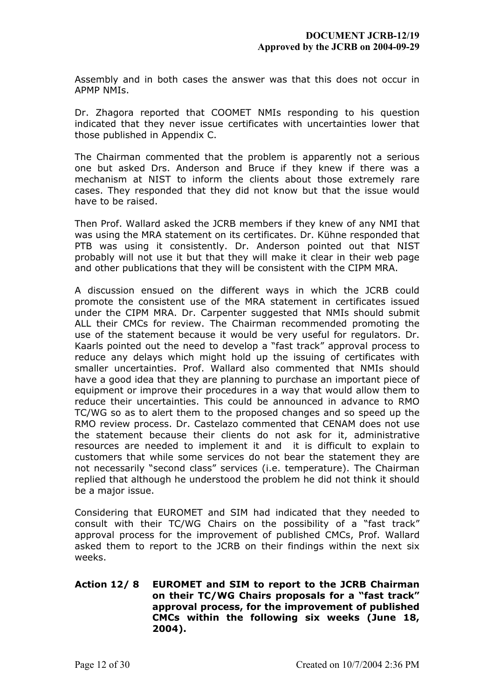Assembly and in both cases the answer was that this does not occur in APMP NMIs.

Dr. Zhagora reported that COOMET NMIs responding to his question indicated that they never issue certificates with uncertainties lower that those published in Appendix C.

The Chairman commented that the problem is apparently not a serious one but asked Drs. Anderson and Bruce if they knew if there was a mechanism at NIST to inform the clients about those extremely rare cases. They responded that they did not know but that the issue would have to be raised.

Then Prof. Wallard asked the JCRB members if they knew of any NMI that was using the MRA statement on its certificates. Dr. Kühne responded that PTB was using it consistently. Dr. Anderson pointed out that NIST probably will not use it but that they will make it clear in their web page and other publications that they will be consistent with the CIPM MRA.

A discussion ensued on the different ways in which the JCRB could promote the consistent use of the MRA statement in certificates issued under the CIPM MRA. Dr. Carpenter suggested that NMIs should submit ALL their CMCs for review. The Chairman recommended promoting the use of the statement because it would be very useful for regulators. Dr. Kaarls pointed out the need to develop a "fast track" approval process to reduce any delays which might hold up the issuing of certificates with smaller uncertainties. Prof. Wallard also commented that NMIs should have a good idea that they are planning to purchase an important piece of equipment or improve their procedures in a way that would allow them to reduce their uncertainties. This could be announced in advance to RMO TC/WG so as to alert them to the proposed changes and so speed up the RMO review process. Dr. Castelazo commented that CENAM does not use the statement because their clients do not ask for it, administrative resources are needed to implement it and it is difficult to explain to customers that while some services do not bear the statement they are not necessarily "second class" services (i.e. temperature). The Chairman replied that although he understood the problem he did not think it should be a major issue.

Considering that EUROMET and SIM had indicated that they needed to consult with their TC/WG Chairs on the possibility of a "fast track" approval process for the improvement of published CMCs, Prof. Wallard asked them to report to the JCRB on their findings within the next six weeks.

# **Action 12/ 8 EUROMET and SIM to report to the JCRB Chairman on their TC/WG Chairs proposals for a "fast track" approval process, for the improvement of published CMCs within the following six weeks (June 18, 2004).**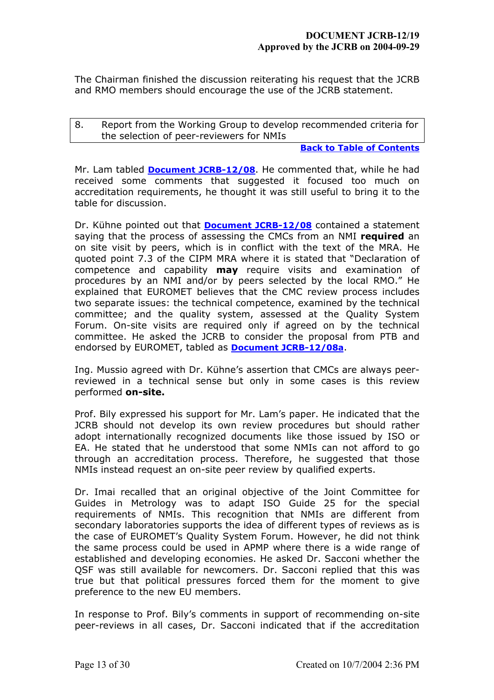The Chairman finished the discussion reiterating his request that the JCRB and RMO members should encourage the use of the JCRB statement.

<span id="page-12-0"></span>8. Report from the Working Group to develop recommended criteria for the selection of peer-reviewers for NMIs

#### **[Back to Table of Contents](#page-0-0)**

Mr. Lam tabled **[Document JCRB-12/08](https://www.bipm.org/cc/JCRB/Restricted/12/12_08_JCRB_assessor_criteria_Ver2.pdf)**. He commented that, while he had received some comments that suggested it focused too much on accreditation requirements, he thought it was still useful to bring it to the table for discussion.

Dr. Kühne pointed out that **[Document JCRB-12/08](https://www.bipm.org/cc/JCRB/Restricted/12/12_08_JCRB_assessor_criteria_Ver2.pdf)** contained a statement saying that the process of assessing the CMCs from an NMI **required** an on site visit by peers, which is in conflict with the text of the MRA. He quoted point 7.3 of the CIPM MRA where it is stated that "Declaration of competence and capability **may** require visits and examination of procedures by an NMI and/or by peers selected by the local RMO." He explained that EUROMET believes that the CMC review process includes two separate issues: the technical competence, examined by the technical committee; and the quality system, assessed at the Quality System Forum. On-site visits are required only if agreed on by the technical committee. He asked the JCRB to consider the proposal from PTB and endorsed by EUROMET, tabled as **[Document JCRB-12/08a](https://www.bipm.org/cc/JCRB/Restricted/12/12_08a_JCRB_recommendations_for_on_site_visits_by_peersV1.pdf)**.

Ing. Mussio agreed with Dr. Kühne's assertion that CMCs are always peerreviewed in a technical sense but only in some cases is this review performed **on-site.**

Prof. Bily expressed his support for Mr. Lam's paper. He indicated that the JCRB should not develop its own review procedures but should rather adopt internationally recognized documents like those issued by ISO or EA. He stated that he understood that some NMIs can not afford to go through an accreditation process. Therefore, he suggested that those NMIs instead request an on-site peer review by qualified experts.

Dr. Imai recalled that an original objective of the Joint Committee for Guides in Metrology was to adapt ISO Guide 25 for the special requirements of NMIs. This recognition that NMIs are different from secondary laboratories supports the idea of different types of reviews as is the case of EUROMET's Quality System Forum. However, he did not think the same process could be used in APMP where there is a wide range of established and developing economies. He asked Dr. Sacconi whether the QSF was still available for newcomers. Dr. Sacconi replied that this was true but that political pressures forced them for the moment to give preference to the new EU members.

In response to Prof. Bily's comments in support of recommending on-site peer-reviews in all cases, Dr. Sacconi indicated that if the accreditation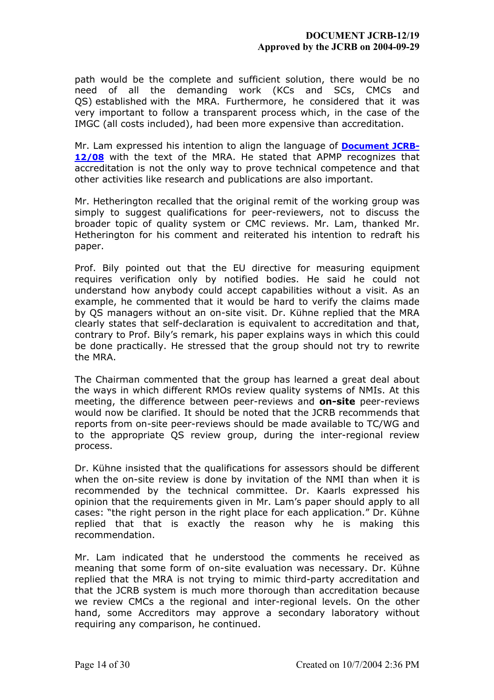path would be the complete and sufficient solution, there would be no need of all the demanding work (KCs and SCs, CMCs and QS) established with the MRA. Furthermore, he considered that it was very important to follow a transparent process which, in the case of the IMGC (all costs included), had been more expensive than accreditation.

Mr. Lam expressed his intention to align the language of **[Document JCRB-](https://www.bipm.org/cc/JCRB/Restricted/12/12_08_JCRB_assessor_criteria_Ver2.pdf)[12/08](https://www.bipm.org/cc/JCRB/Restricted/12/12_08_JCRB_assessor_criteria_Ver2.pdf)** with the text of the MRA. He stated that APMP recognizes that accreditation is not the only way to prove technical competence and that other activities like research and publications are also important.

Mr. Hetherington recalled that the original remit of the working group was simply to suggest qualifications for peer-reviewers, not to discuss the broader topic of quality system or CMC reviews. Mr. Lam, thanked Mr. Hetherington for his comment and reiterated his intention to redraft his paper.

Prof. Bily pointed out that the EU directive for measuring equipment requires verification only by notified bodies. He said he could not understand how anybody could accept capabilities without a visit. As an example, he commented that it would be hard to verify the claims made by QS managers without an on-site visit. Dr. Kühne replied that the MRA clearly states that self-declaration is equivalent to accreditation and that, contrary to Prof. Bily's remark, his paper explains ways in which this could be done practically. He stressed that the group should not try to rewrite the MRA.

The Chairman commented that the group has learned a great deal about the ways in which different RMOs review quality systems of NMIs. At this meeting, the difference between peer-reviews and **on-site** peer-reviews would now be clarified. It should be noted that the JCRB recommends that reports from on-site peer-reviews should be made available to TC/WG and to the appropriate QS review group, during the inter-regional review process.

Dr. Kühne insisted that the qualifications for assessors should be different when the on-site review is done by invitation of the NMI than when it is recommended by the technical committee. Dr. Kaarls expressed his opinion that the requirements given in Mr. Lam's paper should apply to all cases: "the right person in the right place for each application." Dr. Kühne replied that that is exactly the reason why he is making this recommendation.

Mr. Lam indicated that he understood the comments he received as meaning that some form of on-site evaluation was necessary. Dr. Kühne replied that the MRA is not trying to mimic third-party accreditation and that the JCRB system is much more thorough than accreditation because we review CMCs a the regional and inter-regional levels. On the other hand, some Accreditors may approve a secondary laboratory without requiring any comparison, he continued.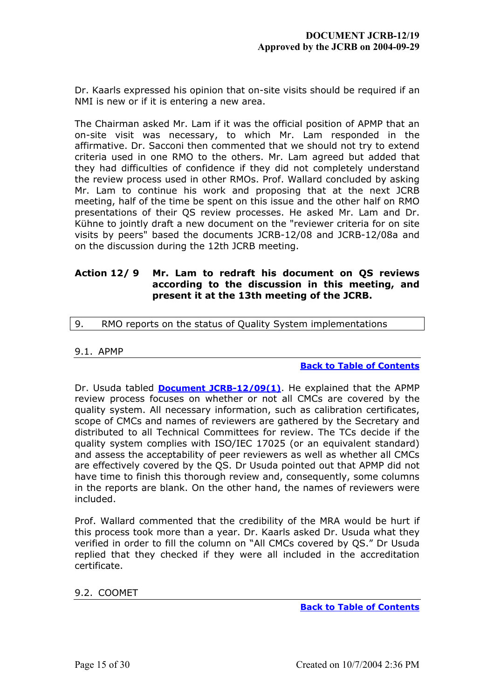Dr. Kaarls expressed his opinion that on-site visits should be required if an NMI is new or if it is entering a new area.

The Chairman asked Mr. Lam if it was the official position of APMP that an on-site visit was necessary, to which Mr. Lam responded in the affirmative. Dr. Sacconi then commented that we should not try to extend criteria used in one RMO to the others. Mr. Lam agreed but added that they had difficulties of confidence if they did not completely understand the review process used in other RMOs. Prof. Wallard concluded by asking Mr. Lam to continue his work and proposing that at the next JCRB meeting, half of the time be spent on this issue and the other half on RMO presentations of their QS review processes. He asked Mr. Lam and Dr. Kühne to jointly draft a new document on the "reviewer criteria for on site visits by peers" based the documents JCRB-12/08 and JCRB-12/08a and on the discussion during the 12th JCRB meeting.

# **Action 12/ 9 Mr. Lam to redraft his document on QS reviews according to the discussion in this meeting, and present it at the 13th meeting of the JCRB.**

# <span id="page-14-0"></span>9. RMO reports on the status of Quality System implementations

## <span id="page-14-1"></span>9.1. APMP

**[Back to Table of Contents](#page-0-0)**

Dr. Usuda tabled **[Document JCRB-12/09\(1\)](https://www.bipm.org/cc/JCRB/Restricted/12/12_09(1)_APMP_QS_Report.doc)**. He explained that the APMP review process focuses on whether or not all CMCs are covered by the quality system. All necessary information, such as calibration certificates, scope of CMCs and names of reviewers are gathered by the Secretary and distributed to all Technical Committees for review. The TCs decide if the quality system complies with ISO/IEC 17025 (or an equivalent standard) and assess the acceptability of peer reviewers as well as whether all CMCs are effectively covered by the QS. Dr Usuda pointed out that APMP did not have time to finish this thorough review and, consequently, some columns in the reports are blank. On the other hand, the names of reviewers were included.

Prof. Wallard commented that the credibility of the MRA would be hurt if this process took more than a year. Dr. Kaarls asked Dr. Usuda what they verified in order to fill the column on "All CMCs covered by QS." Dr Usuda replied that they checked if they were all included in the accreditation certificate.

<span id="page-14-2"></span>9.2. COOMET

**[Back to Table of Contents](#page-0-0)**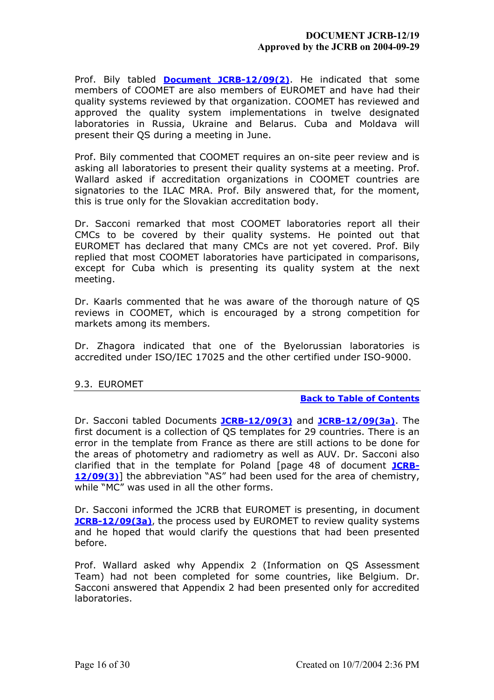Prof. Bily tabled **[Document JCRB-12/09\(2\)](https://www.bipm.org/cc/JCRB/Restricted/12/COOMET_QS_Report.doc)**. He indicated that some members of COOMET are also members of EUROMET and have had their quality systems reviewed by that organization. COOMET has reviewed and approved the quality system implementations in twelve designated laboratories in Russia, Ukraine and Belarus. Cuba and Moldava will present their QS during a meeting in June.

Prof. Bily commented that COOMET requires an on-site peer review and is asking all laboratories to present their quality systems at a meeting. Prof. Wallard asked if accreditation organizations in COOMET countries are signatories to the ILAC MRA. Prof. Bily answered that, for the moment, this is true only for the Slovakian accreditation body.

Dr. Sacconi remarked that most COOMET laboratories report all their CMCs to be covered by their quality systems. He pointed out that EUROMET has declared that many CMCs are not yet covered. Prof. Bily replied that most COOMET laboratories have participated in comparisons, except for Cuba which is presenting its quality system at the next meeting.

Dr. Kaarls commented that he was aware of the thorough nature of QS reviews in COOMET, which is encouraged by a strong competition for markets among its members.

Dr. Zhagora indicated that one of the Byelorussian laboratories is accredited under ISO/IEC 17025 and the other certified under ISO-9000.

# <span id="page-15-0"></span>9.3. EUROMET

## **[Back to Table of Contents](#page-0-0)**

Dr. Sacconi tabled Documents **[JCRB-12/09\(3\)](https://www.bipm.org/cc/JCRB/Restricted/12/EUROMET_QS_Report.doc)** and **[JCRB-12/09\(3a\)](https://www.bipm.org/cc/JCRB/Restricted/12/12_09(3a)_Euromet_QS_Report_supplement.pdf)**. The first document is a collection of QS templates for 29 countries. There is an error in the template from France as there are still actions to be done for the areas of photometry and radiometry as well as AUV. Dr. Sacconi also clarified that in the template for Poland [page 48 of document **[JCRB-](https://www.bipm.org/cc/JCRB/Restricted/12/EUROMET_QS_Report.doc)[12/09\(3\)](https://www.bipm.org/cc/JCRB/Restricted/12/EUROMET_QS_Report.doc)**] the abbreviation "AS" had been used for the area of chemistry, while "MC" was used in all the other forms.

Dr. Sacconi informed the JCRB that EUROMET is presenting, in document **[JCRB-12/09\(3a\)](https://www.bipm.org/cc/JCRB/Restricted/12/12_09(3a)_Euromet_QS_Report_supplement.pdf)**, the process used by EUROMET to review quality systems and he hoped that would clarify the questions that had been presented before.

Prof. Wallard asked why Appendix 2 (Information on QS Assessment Team) had not been completed for some countries, like Belgium. Dr. Sacconi answered that Appendix 2 had been presented only for accredited laboratories.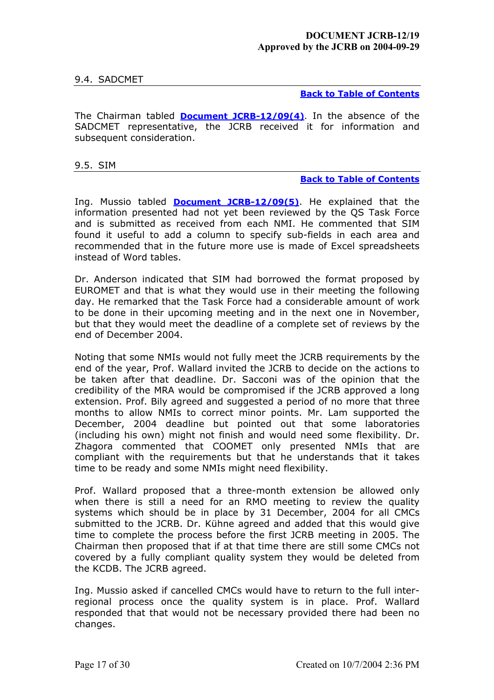# <span id="page-16-0"></span>9.4. SADCMET

**[Back to Table of Contents](#page-0-0)**

The Chairman tabled **[Document JCRB-12/09\(4\)](https://www.bipm.org/cc/JCRB/Restricted/12/SADCMET_QS_Report.zip)**. In the absence of the SADCMET representative, the JCRB received it for information and subsequent consideration.

<span id="page-16-1"></span>9.5. SIM

#### **[Back to Table of Contents](#page-0-0)**

Ing. Mussio tabled **[Document JCRB-12/09\(5\)](https://www.bipm.org/cc/JCRB/Restricted/12/SIM_QS_Report.zip)**. He explained that the information presented had not yet been reviewed by the QS Task Force and is submitted as received from each NMI. He commented that SIM found it useful to add a column to specify sub-fields in each area and recommended that in the future more use is made of Excel spreadsheets instead of Word tables.

Dr. Anderson indicated that SIM had borrowed the format proposed by EUROMET and that is what they would use in their meeting the following day. He remarked that the Task Force had a considerable amount of work to be done in their upcoming meeting and in the next one in November, but that they would meet the deadline of a complete set of reviews by the end of December 2004.

Noting that some NMIs would not fully meet the JCRB requirements by the end of the year, Prof. Wallard invited the JCRB to decide on the actions to be taken after that deadline. Dr. Sacconi was of the opinion that the credibility of the MRA would be compromised if the JCRB approved a long extension. Prof. Bily agreed and suggested a period of no more that three months to allow NMIs to correct minor points. Mr. Lam supported the December, 2004 deadline but pointed out that some laboratories (including his own) might not finish and would need some flexibility. Dr. Zhagora commented that COOMET only presented NMIs that are compliant with the requirements but that he understands that it takes time to be ready and some NMIs might need flexibility.

Prof. Wallard proposed that a three-month extension be allowed only when there is still a need for an RMO meeting to review the quality systems which should be in place by 31 December, 2004 for all CMCs submitted to the JCRB. Dr. Kühne agreed and added that this would give time to complete the process before the first JCRB meeting in 2005. The Chairman then proposed that if at that time there are still some CMCs not covered by a fully compliant quality system they would be deleted from the KCDB. The JCRB agreed.

Ing. Mussio asked if cancelled CMCs would have to return to the full interregional process once the quality system is in place. Prof. Wallard responded that that would not be necessary provided there had been no changes.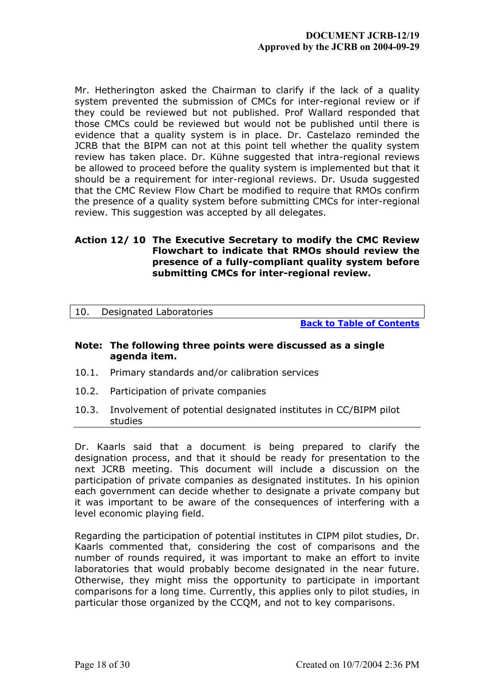Mr. Hetherington asked the Chairman to clarify if the lack of a quality system prevented the submission of CMCs for inter-regional review or if they could be reviewed but not published. Prof Wallard responded that those CMCs could be reviewed but would not be published until there is evidence that a quality system is in place. Dr. Castelazo reminded the JCRB that the BIPM can not at this point tell whether the quality system review has taken place. Dr. Kühne suggested that intra-regional reviews be allowed to proceed before the quality system is implemented but that it should be a requirement for inter-regional reviews. Dr. Usuda suggested that the CMC Review Flow Chart be modified to require that RMOs confirm the presence of a quality system before submitting CMCs for inter-regional review. This suggestion was accepted by all delegates.

# **Action 12/ 10 The Executive Secretary to modify the CMC Review Flowchart to indicate that RMOs should review the presence of a fully-compliant quality system before submitting CMCs for inter-regional review.**

<span id="page-17-0"></span>

| 10. |  | Designated Laboratories |  |
|-----|--|-------------------------|--|
|-----|--|-------------------------|--|

**[Back to Table of Contents](#page-0-0)**

### **Note: The following three points were discussed as a single agenda item.**

- <span id="page-17-1"></span>10.1. Primary standards and/or calibration services
- <span id="page-17-2"></span>10.2. Participation of private companies
- <span id="page-17-3"></span>10.3. Involvement of potential designated institutes in CC/BIPM pilot studies

Dr. Kaarls said that a document is being prepared to clarify the designation process, and that it should be ready for presentation to the next JCRB meeting. This document will include a discussion on the participation of private companies as designated institutes. In his opinion each government can decide whether to designate a private company but it was important to be aware of the consequences of interfering with a level economic playing field.

Regarding the participation of potential institutes in CIPM pilot studies, Dr. Kaarls commented that, considering the cost of comparisons and the number of rounds required, it was important to make an effort to invite laboratories that would probably become designated in the near future. Otherwise, they might miss the opportunity to participate in important comparisons for a long time. Currently, this applies only to pilot studies, in particular those organized by the CCQM, and not to key comparisons.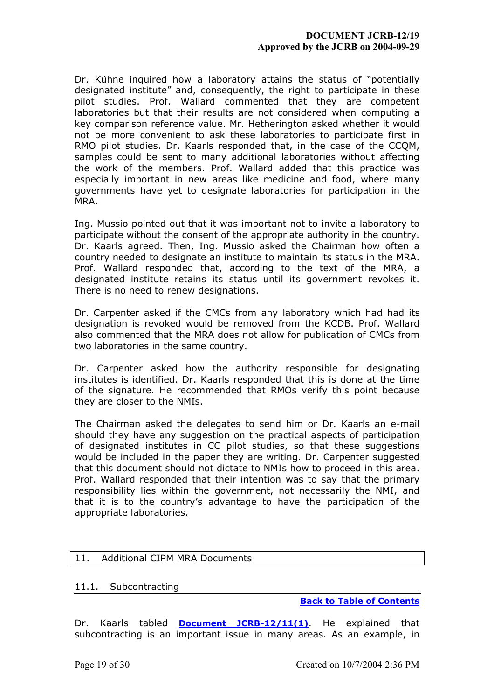# **DOCUMENT JCRB-12/19 Approved by the JCRB on 2004-09-29**

Dr. Kühne inquired how a laboratory attains the status of "potentially designated institute" and, consequently, the right to participate in these pilot studies. Prof. Wallard commented that they are competent laboratories but that their results are not considered when computing a key comparison reference value. Mr. Hetherington asked whether it would not be more convenient to ask these laboratories to participate first in RMO pilot studies. Dr. Kaarls responded that, in the case of the CCQM, samples could be sent to many additional laboratories without affecting the work of the members. Prof. Wallard added that this practice was especially important in new areas like medicine and food, where many governments have yet to designate laboratories for participation in the MRA.

Ing. Mussio pointed out that it was important not to invite a laboratory to participate without the consent of the appropriate authority in the country. Dr. Kaarls agreed. Then, Ing. Mussio asked the Chairman how often a country needed to designate an institute to maintain its status in the MRA. Prof. Wallard responded that, according to the text of the MRA, a designated institute retains its status until its government revokes it. There is no need to renew designations.

Dr. Carpenter asked if the CMCs from any laboratory which had had its designation is revoked would be removed from the KCDB. Prof. Wallard also commented that the MRA does not allow for publication of CMCs from two laboratories in the same country.

Dr. Carpenter asked how the authority responsible for designating institutes is identified. Dr. Kaarls responded that this is done at the time of the signature. He recommended that RMOs verify this point because they are closer to the NMIs.

The Chairman asked the delegates to send him or Dr. Kaarls an e-mail should they have any suggestion on the practical aspects of participation of designated institutes in CC pilot studies, so that these suggestions would be included in the paper they are writing. Dr. Carpenter suggested that this document should not dictate to NMIs how to proceed in this area. Prof. Wallard responded that their intention was to say that the primary responsibility lies within the government, not necessarily the NMI, and that it is to the country's advantage to have the participation of the appropriate laboratories.

## <span id="page-18-0"></span>11. Additional CIPM MRA Documents

## <span id="page-18-1"></span>11.1. Subcontracting

**[Back to Table of Contents](#page-0-0)**

Dr. Kaarls tabled **[Document JCRB-12/11\(1\)](https://www.bipm.org/cc/JCRB/Restricted/12/12_11(1)_Subcontracting_under_the_CIPM_MRA_Draft_RK_23Jan04.pdf)**. He explained that subcontracting is an important issue in many areas. As an example, in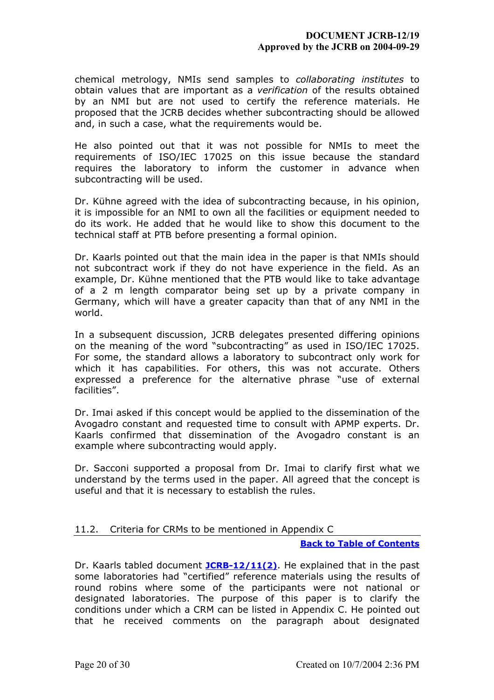chemical metrology, NMIs send samples to *collaborating institutes* to obtain values that are important as a *verification* of the results obtained by an NMI but are not used to certify the reference materials. He proposed that the JCRB decides whether subcontracting should be allowed and, in such a case, what the requirements would be.

He also pointed out that it was not possible for NMIs to meet the requirements of ISO/IEC 17025 on this issue because the standard requires the laboratory to inform the customer in advance when subcontracting will be used.

Dr. Kühne agreed with the idea of subcontracting because, in his opinion, it is impossible for an NMI to own all the facilities or equipment needed to do its work. He added that he would like to show this document to the technical staff at PTB before presenting a formal opinion.

Dr. Kaarls pointed out that the main idea in the paper is that NMIs should not subcontract work if they do not have experience in the field. As an example, Dr. Kühne mentioned that the PTB would like to take advantage of a 2 m length comparator being set up by a private company in Germany, which will have a greater capacity than that of any NMI in the world.

In a subsequent discussion, JCRB delegates presented differing opinions on the meaning of the word "subcontracting" as used in ISO/IEC 17025. For some, the standard allows a laboratory to subcontract only work for which it has capabilities. For others, this was not accurate. Others expressed a preference for the alternative phrase "use of external facilities".

Dr. Imai asked if this concept would be applied to the dissemination of the Avogadro constant and requested time to consult with APMP experts. Dr. Kaarls confirmed that dissemination of the Avogadro constant is an example where subcontracting would apply.

Dr. Sacconi supported a proposal from Dr. Imai to clarify first what we understand by the terms used in the paper. All agreed that the concept is useful and that it is necessary to establish the rules.

# <span id="page-19-0"></span>11.2. Criteria for CRMs to be mentioned in Appendix C

#### **[Back to Table of Contents](#page-0-0)**

Dr. Kaarls tabled document **[JCRB-12/11\(2\)](https://www.bipm.org/cc/JCRB/Restricted/12/12_11(2)_Criteria_for_CRMs_to_be_mentioned_in_AppC.pdf)**. He explained that in the past some laboratories had "certified" reference materials using the results of round robins where some of the participants were not national or designated laboratories. The purpose of this paper is to clarify the conditions under which a CRM can be listed in Appendix C. He pointed out that he received comments on the paragraph about designated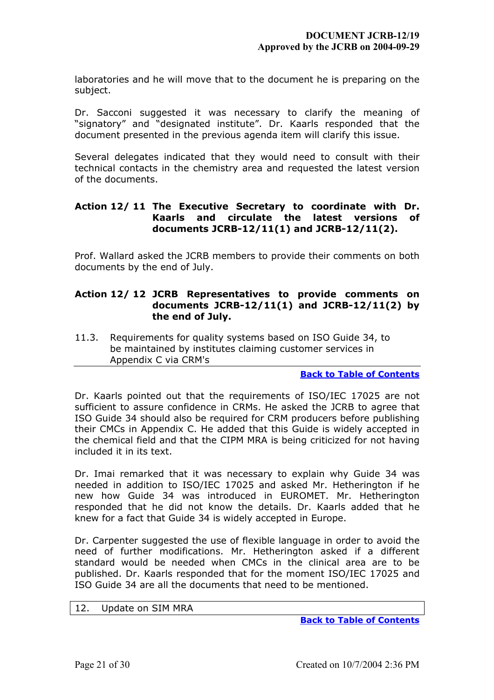laboratories and he will move that to the document he is preparing on the subject.

Dr. Sacconi suggested it was necessary to clarify the meaning of "signatory" and "designated institute". Dr. Kaarls responded that the document presented in the previous agenda item will clarify this issue.

Several delegates indicated that they would need to consult with their technical contacts in the chemistry area and requested the latest version of the documents.

# **Action 12/ 11 The Executive Secretary to coordinate with Dr. Kaarls and circulate the latest versions of documents JCRB-12/11(1) and JCRB-12/11(2).**

Prof. Wallard asked the JCRB members to provide their comments on both documents by the end of July.

# **Action 12/ 12 JCRB Representatives to provide comments on documents JCRB-12/11(1) and JCRB-12/11(2) by the end of July.**

<span id="page-20-0"></span>11.3. Requirements for quality systems based on ISO Guide 34, to be maintained by institutes claiming customer services in Appendix C via CRM's

## **[Back to Table of Contents](#page-0-0)**

Dr. Kaarls pointed out that the requirements of ISO/IEC 17025 are not sufficient to assure confidence in CRMs. He asked the JCRB to agree that ISO Guide 34 should also be required for CRM producers before publishing their CMCs in Appendix C. He added that this Guide is widely accepted in the chemical field and that the CIPM MRA is being criticized for not having included it in its text.

Dr. Imai remarked that it was necessary to explain why Guide 34 was needed in addition to ISO/IEC 17025 and asked Mr. Hetherington if he new how Guide 34 was introduced in EUROMET. Mr. Hetherington responded that he did not know the details. Dr. Kaarls added that he knew for a fact that Guide 34 is widely accepted in Europe.

Dr. Carpenter suggested the use of flexible language in order to avoid the need of further modifications. Mr. Hetherington asked if a different standard would be needed when CMCs in the clinical area are to be published. Dr. Kaarls responded that for the moment ISO/IEC 17025 and ISO Guide 34 are all the documents that need to be mentioned.

### <span id="page-20-1"></span>12. Update on SIM MRA

**[Back to Table of Contents](#page-0-0)**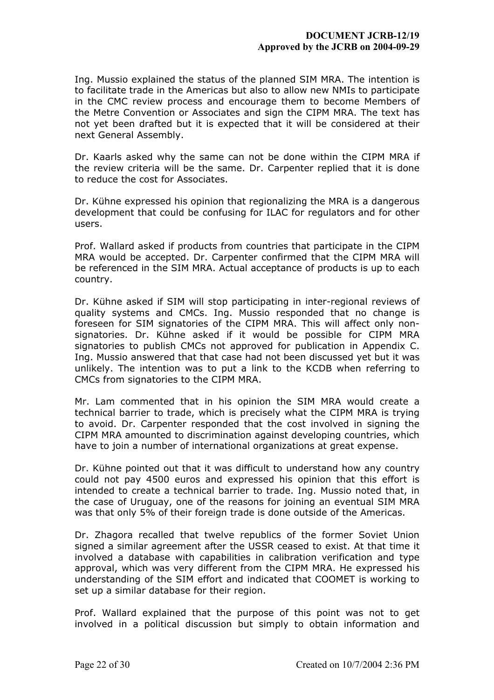Ing. Mussio explained the status of the planned SIM MRA. The intention is to facilitate trade in the Americas but also to allow new NMIs to participate in the CMC review process and encourage them to become Members of the Metre Convention or Associates and sign the CIPM MRA. The text has not yet been drafted but it is expected that it will be considered at their next General Assembly.

Dr. Kaarls asked why the same can not be done within the CIPM MRA if the review criteria will be the same. Dr. Carpenter replied that it is done to reduce the cost for Associates.

Dr. Kühne expressed his opinion that regionalizing the MRA is a dangerous development that could be confusing for ILAC for regulators and for other users.

Prof. Wallard asked if products from countries that participate in the CIPM MRA would be accepted. Dr. Carpenter confirmed that the CIPM MRA will be referenced in the SIM MRA. Actual acceptance of products is up to each country.

Dr. Kühne asked if SIM will stop participating in inter-regional reviews of quality systems and CMCs. Ing. Mussio responded that no change is foreseen for SIM signatories of the CIPM MRA. This will affect only nonsignatories. Dr. Kühne asked if it would be possible for CIPM MRA signatories to publish CMCs not approved for publication in Appendix C. Ing. Mussio answered that that case had not been discussed yet but it was unlikely. The intention was to put a link to the KCDB when referring to CMCs from signatories to the CIPM MRA.

Mr. Lam commented that in his opinion the SIM MRA would create a technical barrier to trade, which is precisely what the CIPM MRA is trying to avoid. Dr. Carpenter responded that the cost involved in signing the CIPM MRA amounted to discrimination against developing countries, which have to join a number of international organizations at great expense.

Dr. Kühne pointed out that it was difficult to understand how any country could not pay 4500 euros and expressed his opinion that this effort is intended to create a technical barrier to trade. Ing. Mussio noted that, in the case of Uruguay, one of the reasons for joining an eventual SIM MRA was that only 5% of their foreign trade is done outside of the Americas.

Dr. Zhagora recalled that twelve republics of the former Soviet Union signed a similar agreement after the USSR ceased to exist. At that time it involved a database with capabilities in calibration verification and type approval, which was very different from the CIPM MRA. He expressed his understanding of the SIM effort and indicated that COOMET is working to set up a similar database for their region.

Prof. Wallard explained that the purpose of this point was not to get involved in a political discussion but simply to obtain information and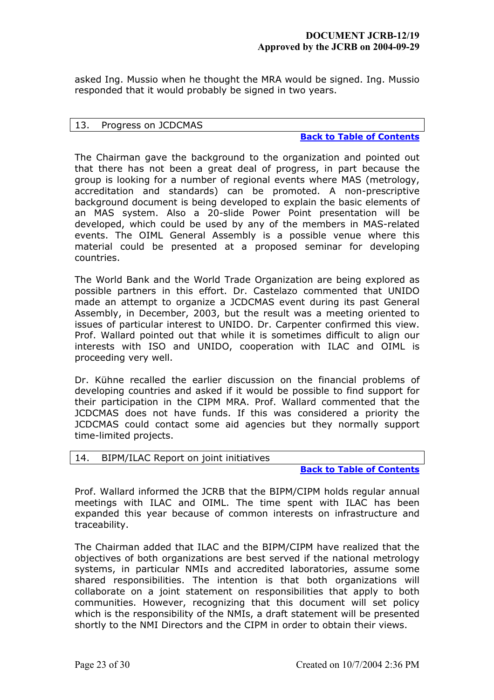asked Ing. Mussio when he thought the MRA would be signed. Ing. Mussio responded that it would probably be signed in two years.

### <span id="page-22-0"></span>13. Progress on JCDCMAS

**[Back to Table of Contents](#page-0-0)**

The Chairman gave the background to the organization and pointed out that there has not been a great deal of progress, in part because the group is looking for a number of regional events where MAS (metrology, accreditation and standards) can be promoted. A non-prescriptive background document is being developed to explain the basic elements of an MAS system. Also a 20-slide Power Point presentation will be developed, which could be used by any of the members in MAS-related events. The OIML General Assembly is a possible venue where this material could be presented at a proposed seminar for developing countries.

The World Bank and the World Trade Organization are being explored as possible partners in this effort. Dr. Castelazo commented that UNIDO made an attempt to organize a JCDCMAS event during its past General Assembly, in December, 2003, but the result was a meeting oriented to issues of particular interest to UNIDO. Dr. Carpenter confirmed this view. Prof. Wallard pointed out that while it is sometimes difficult to align our interests with ISO and UNIDO, cooperation with ILAC and OIML is proceeding very well.

Dr. Kühne recalled the earlier discussion on the financial problems of developing countries and asked if it would be possible to find support for their participation in the CIPM MRA. Prof. Wallard commented that the JCDCMAS does not have funds. If this was considered a priority the JCDCMAS could contact some aid agencies but they normally support time-limited projects.

## <span id="page-22-1"></span>14. BIPM/ILAC Report on joint initiatives

**[Back to Table of Contents](#page-0-0)**

Prof. Wallard informed the JCRB that the BIPM/CIPM holds regular annual meetings with ILAC and OIML. The time spent with ILAC has been expanded this year because of common interests on infrastructure and traceability.

The Chairman added that ILAC and the BIPM/CIPM have realized that the objectives of both organizations are best served if the national metrology systems, in particular NMIs and accredited laboratories, assume some shared responsibilities. The intention is that both organizations will collaborate on a joint statement on responsibilities that apply to both communities. However, recognizing that this document will set policy which is the responsibility of the NMIs, a draft statement will be presented shortly to the NMI Directors and the CIPM in order to obtain their views.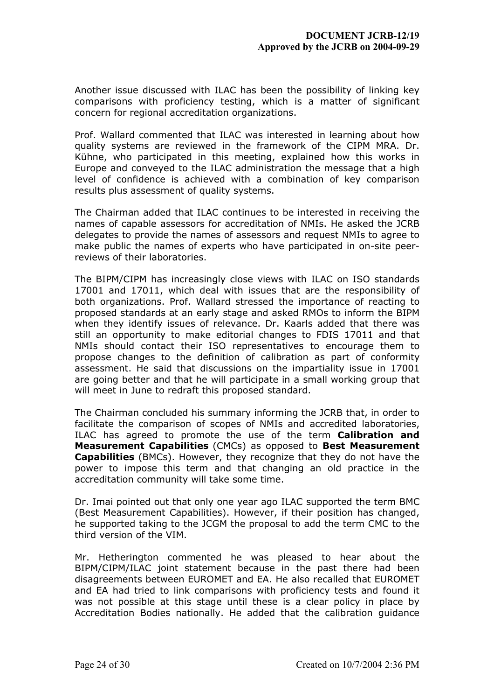Another issue discussed with ILAC has been the possibility of linking key comparisons with proficiency testing, which is a matter of significant concern for regional accreditation organizations.

Prof. Wallard commented that ILAC was interested in learning about how quality systems are reviewed in the framework of the CIPM MRA. Dr. Kühne, who participated in this meeting, explained how this works in Europe and conveyed to the ILAC administration the message that a high level of confidence is achieved with a combination of key comparison results plus assessment of quality systems.

The Chairman added that ILAC continues to be interested in receiving the names of capable assessors for accreditation of NMIs. He asked the JCRB delegates to provide the names of assessors and request NMIs to agree to make public the names of experts who have participated in on-site peerreviews of their laboratories.

The BIPM/CIPM has increasingly close views with ILAC on ISO standards 17001 and 17011, which deal with issues that are the responsibility of both organizations. Prof. Wallard stressed the importance of reacting to proposed standards at an early stage and asked RMOs to inform the BIPM when they identify issues of relevance. Dr. Kaarls added that there was still an opportunity to make editorial changes to FDIS 17011 and that NMIs should contact their ISO representatives to encourage them to propose changes to the definition of calibration as part of conformity assessment. He said that discussions on the impartiality issue in 17001 are going better and that he will participate in a small working group that will meet in June to redraft this proposed standard.

The Chairman concluded his summary informing the JCRB that, in order to facilitate the comparison of scopes of NMIs and accredited laboratories, ILAC has agreed to promote the use of the term **Calibration and Measurement Capabilities** (CMCs) as opposed to **Best Measurement Capabilities** (BMCs). However, they recognize that they do not have the power to impose this term and that changing an old practice in the accreditation community will take some time.

Dr. Imai pointed out that only one year ago ILAC supported the term BMC (Best Measurement Capabilities). However, if their position has changed, he supported taking to the JCGM the proposal to add the term CMC to the third version of the VIM.

Mr. Hetherington commented he was pleased to hear about the BIPM/CIPM/ILAC joint statement because in the past there had been disagreements between EUROMET and EA. He also recalled that EUROMET and EA had tried to link comparisons with proficiency tests and found it was not possible at this stage until these is a clear policy in place by Accreditation Bodies nationally. He added that the calibration guidance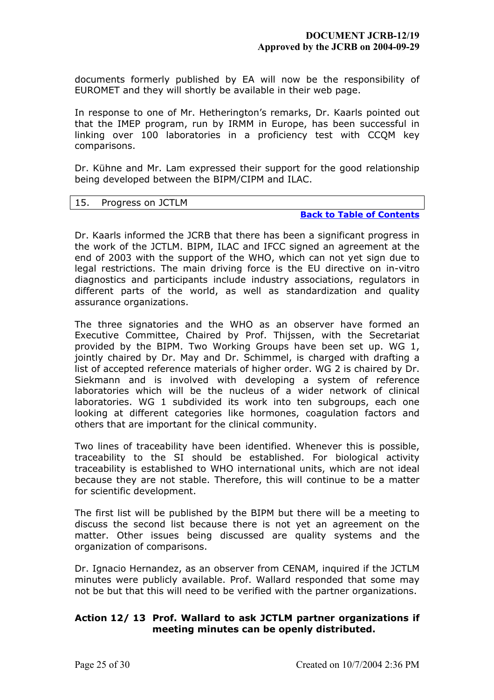documents formerly published by EA will now be the responsibility of EUROMET and they will shortly be available in their web page.

In response to one of Mr. Hetherington's remarks, Dr. Kaarls pointed out that the IMEP program, run by IRMM in Europe, has been successful in linking over 100 laboratories in a proficiency test with CCQM key comparisons.

Dr. Kühne and Mr. Lam expressed their support for the good relationship being developed between the BIPM/CIPM and ILAC.

#### <span id="page-24-0"></span>15. Progress on JCTLM

## **[Back to Table of Contents](#page-0-0)**

Dr. Kaarls informed the JCRB that there has been a significant progress in the work of the JCTLM. BIPM, ILAC and IFCC signed an agreement at the end of 2003 with the support of the WHO, which can not yet sign due to legal restrictions. The main driving force is the EU directive on in-vitro diagnostics and participants include industry associations, regulators in different parts of the world, as well as standardization and quality assurance organizations.

The three signatories and the WHO as an observer have formed an Executive Committee, Chaired by Prof. Thijssen, with the Secretariat provided by the BIPM. Two Working Groups have been set up. WG 1, jointly chaired by Dr. May and Dr. Schimmel, is charged with drafting a list of accepted reference materials of higher order. WG 2 is chaired by Dr. Siekmann and is involved with developing a system of reference laboratories which will be the nucleus of a wider network of clinical laboratories. WG 1 subdivided its work into ten subgroups, each one looking at different categories like hormones, coagulation factors and others that are important for the clinical community.

Two lines of traceability have been identified. Whenever this is possible, traceability to the SI should be established. For biological activity traceability is established to WHO international units, which are not ideal because they are not stable. Therefore, this will continue to be a matter for scientific development.

The first list will be published by the BIPM but there will be a meeting to discuss the second list because there is not yet an agreement on the matter. Other issues being discussed are quality systems and the organization of comparisons.

Dr. Ignacio Hernandez, as an observer from CENAM, inquired if the JCTLM minutes were publicly available. Prof. Wallard responded that some may not be but that this will need to be verified with the partner organizations.

# **Action 12/ 13 Prof. Wallard to ask JCTLM partner organizations if meeting minutes can be openly distributed.**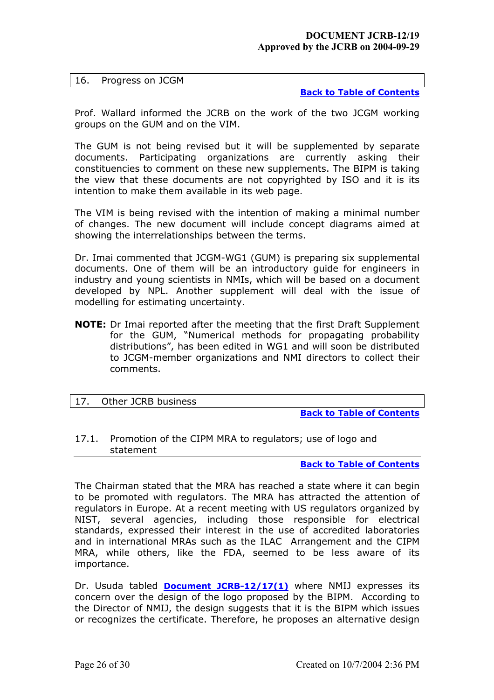**[Back to Table of Contents](#page-0-0)**

<span id="page-25-0"></span>Prof. Wallard informed the JCRB on the work of the two JCGM working groups on the GUM and on the VIM.

The GUM is not being revised but it will be supplemented by separate documents. Participating organizations are currently asking their constituencies to comment on these new supplements. The BIPM is taking the view that these documents are not copyrighted by ISO and it is its intention to make them available in its web page.

The VIM is being revised with the intention of making a minimal number of changes. The new document will include concept diagrams aimed at showing the interrelationships between the terms.

Dr. Imai commented that JCGM-WG1 (GUM) is preparing six supplemental documents. One of them will be an introductory guide for engineers in industry and young scientists in NMIs, which will be based on a document developed by NPL. Another supplement will deal with the issue of modelling for estimating uncertainty.

**NOTE:** Dr Imai reported after the meeting that the first Draft Supplement for the GUM, "Numerical methods for propagating probability distributions", has been edited in WG1 and will soon be distributed to JCGM-member organizations and NMI directors to collect their comments.

<span id="page-25-1"></span>

|--|

**[Back to Table of Contents](#page-0-0)**

<span id="page-25-2"></span>17.1. Promotion of the CIPM MRA to regulators; use of logo and statement

**[Back to Table of Contents](#page-0-0)**

The Chairman stated that the MRA has reached a state where it can begin to be promoted with regulators. The MRA has attracted the attention of regulators in Europe. At a recent meeting with US regulators organized by NIST, several agencies, including those responsible for electrical standards, expressed their interest in the use of accredited laboratories and in international MRAs such as the ILAC Arrangement and the CIPM MRA, while others, like the FDA, seemed to be less aware of its importance.

Dr. Usuda tabled **[Document JCRB-12/17\(1\)](https://www1.bipm.org/cc/JCRB/Restricted/12/12_17(1)_Logo_proposal.pdf)** where NMIJ expresses its concern over the design of the logo proposed by the BIPM. According to the Director of NMIJ, the design suggests that it is the BIPM which issues or recognizes the certificate. Therefore, he proposes an alternative design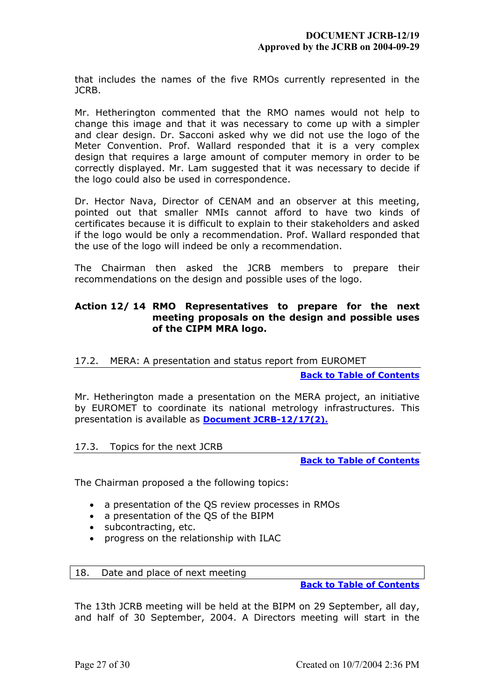that includes the names of the five RMOs currently represented in the JCRB.

Mr. Hetherington commented that the RMO names would not help to change this image and that it was necessary to come up with a simpler and clear design. Dr. Sacconi asked why we did not use the logo of the Meter Convention. Prof. Wallard responded that it is a very complex design that requires a large amount of computer memory in order to be correctly displayed. Mr. Lam suggested that it was necessary to decide if the logo could also be used in correspondence.

Dr. Hector Nava, Director of CENAM and an observer at this meeting, pointed out that smaller NMIs cannot afford to have two kinds of certificates because it is difficult to explain to their stakeholders and asked if the logo would be only a recommendation. Prof. Wallard responded that the use of the logo will indeed be only a recommendation.

The Chairman then asked the JCRB members to prepare their recommendations on the design and possible uses of the logo.

# **Action 12/ 14 RMO Representatives to prepare for the next meeting proposals on the design and possible uses of the CIPM MRA logo.**

## <span id="page-26-0"></span>17.2. MERA: A presentation and status report from EUROMET

#### **[Back to Table of Contents](#page-0-0)**

Mr. Hetherington made a presentation on the MERA project, an initiative by EUROMET to coordinate its national metrology infrastructures. This presentation is available as **[Document JCRB-12/17\(2\).](https://www1.bipm.org/cc/JCRB/Restricted/12/12_17(2)_MERA_JCRB_12_Draft2.ppt)**

## <span id="page-26-1"></span>17.3. Topics for the next JCRB

**[Back to Table of Contents](#page-0-0)**

The Chairman proposed a the following topics:

- a presentation of the QS review processes in RMOs
- a presentation of the QS of the BIPM
- subcontracting, etc.
- progress on the relationship with ILAC

## <span id="page-26-2"></span>18. Date and place of next meeting

**[Back to Table of Contents](#page-0-0)**

The 13th JCRB meeting will be held at the BIPM on 29 September, all day, and half of 30 September, 2004. A Directors meeting will start in the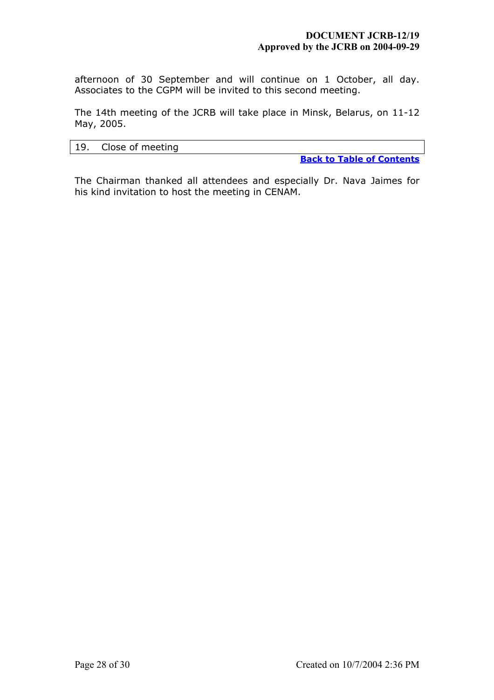afternoon of 30 September and will continue on 1 October, all day. Associates to the CGPM will be invited to this second meeting.

The 14th meeting of the JCRB will take place in Minsk, Belarus, on 11-12 May, 2005.

### <span id="page-27-0"></span>19. Close of meeting

**[Back to Table of Contents](#page-0-0)**

The Chairman thanked all attendees and especially Dr. Nava Jaimes for his kind invitation to host the meeting in CENAM.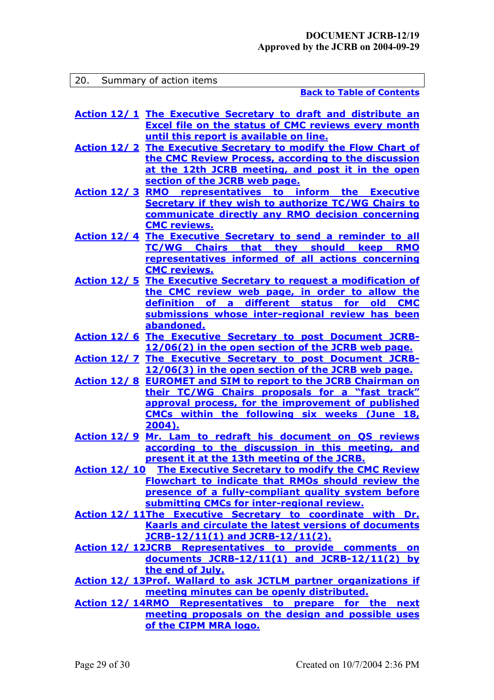<span id="page-28-0"></span>

| 20. Summary of action items |                                                                                                                                  |  |  |
|-----------------------------|----------------------------------------------------------------------------------------------------------------------------------|--|--|
|                             | <b>Back to Table of Contents</b>                                                                                                 |  |  |
|                             | <b>Action 12/1 The Executive Secretary to draft and distribute an</b>                                                            |  |  |
|                             | <b>Excel file on the status of CMC reviews every month</b><br>until this report is available on line.                            |  |  |
|                             | <b>Action 12/2 The Executive Secretary to modify the Flow Chart of</b>                                                           |  |  |
|                             | the CMC Review Process, according to the discussion                                                                              |  |  |
|                             | at the 12th JCRB meeting, and post it in the open                                                                                |  |  |
|                             | section of the JCRB web page.                                                                                                    |  |  |
|                             | <b>Action 12/3 RMO representatives to inform the Executive</b>                                                                   |  |  |
|                             | <b>Secretary if they wish to authorize TC/WG Chairs to</b>                                                                       |  |  |
|                             | communicate directly any RMO decision concerning<br><b>CMC reviews.</b>                                                          |  |  |
|                             | <b>Action 12/4 The Executive Secretary to send a reminder to all</b>                                                             |  |  |
|                             | TC/WG Chairs that they should keep RMO                                                                                           |  |  |
|                             | representatives informed of all actions concerning                                                                               |  |  |
|                             | <b>CMC reviews.</b>                                                                                                              |  |  |
|                             | <b>Action 12/5 The Executive Secretary to request a modification of</b>                                                          |  |  |
|                             | the CMC review web page, in order to allow the                                                                                   |  |  |
|                             | definition of a different status for old CMC                                                                                     |  |  |
|                             | submissions whose inter-regional review has been<br>abandoned.                                                                   |  |  |
|                             | <u>Action 12/6 The Executive Secretary to post Document JCRB-</u>                                                                |  |  |
|                             | 12/06(2) in the open section of the JCRB web page.                                                                               |  |  |
|                             | <b>Action 12/7 The Executive Secretary to post Document JCRB-</b>                                                                |  |  |
|                             | 12/06(3) in the open section of the JCRB web page.                                                                               |  |  |
|                             | <b>Action 12/8 EUROMET and SIM to report to the JCRB Chairman on</b>                                                             |  |  |
|                             | their TC/WG Chairs proposals for a "fast track"                                                                                  |  |  |
|                             | approval process, for the improvement of published<br>CMCs within the following six weeks (June 18,                              |  |  |
|                             | 2004).                                                                                                                           |  |  |
|                             | <u>Action 12/ 9 Mr. Lam to redraft his document on OS reviews</u>                                                                |  |  |
|                             | according to the discussion in this meeting, and                                                                                 |  |  |
|                             | present it at the 13th meeting of the JCRB.                                                                                      |  |  |
|                             | <b>Action 12/10 The Executive Secretary to modify the CMC Review</b><br><b>Flowchart to indicate that RMOs should review the</b> |  |  |
|                             | presence of a fully-compliant quality system before                                                                              |  |  |
|                             | submitting CMCs for inter-regional review.                                                                                       |  |  |
|                             | Action 12/11The Executive Secretary to coordinate with Dr.                                                                       |  |  |
|                             | <b>Kaarls and circulate the latest versions of documents</b>                                                                     |  |  |
|                             | JCRB-12/11(1) and JCRB-12/11(2).                                                                                                 |  |  |
|                             | <b>Action 12/ 12JCRB Representatives to provide comments on</b>                                                                  |  |  |
|                             | documents JCRB-12/11(1) and JCRB-12/11(2) by<br>the end of July.                                                                 |  |  |
|                             | <b>Action 12/ 13Prof. Wallard to ask JCTLM partner organizations if</b>                                                          |  |  |
|                             | meeting minutes can be openly distributed.                                                                                       |  |  |
|                             | Action 12/14RMO Representatives to prepare for the next                                                                          |  |  |
|                             | meeting proposals on the design and possible uses                                                                                |  |  |
|                             | of the CIPM MRA logo.                                                                                                            |  |  |
|                             |                                                                                                                                  |  |  |